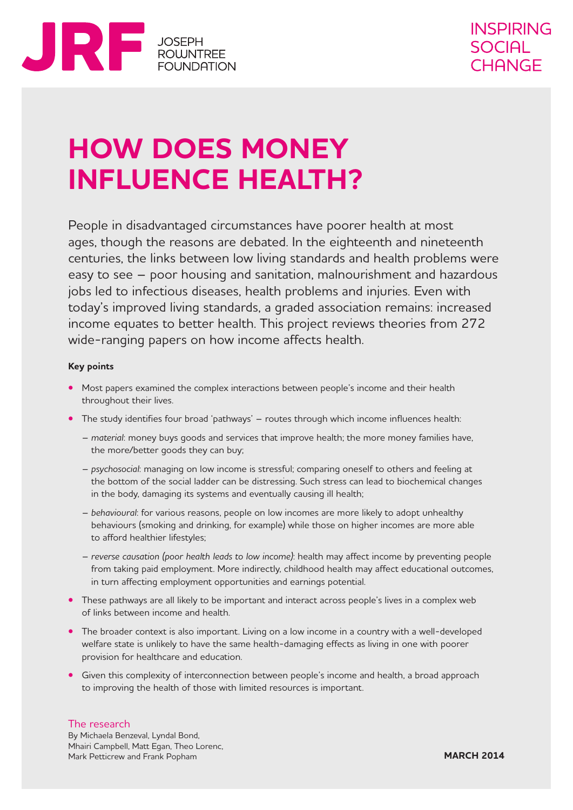

# **HOW DOES MONEY INFLUENCE HEALTH?**

People in disadvantaged circumstances have poorer health at most ages, though the reasons are debated. In the eighteenth and nineteenth centuries, the links between low living standards and health problems were easy to see – poor housing and sanitation, malnourishment and hazardous jobs led to infectious diseases, health problems and injuries. Even with today's improved living standards, a graded association remains: increased income equates to better health. This project reviews theories from 272 wide-ranging papers on how income affects health.

#### **Key points**

- **•** Most papers examined the complex interactions between people's income and their health throughout their lives.
- **•** The study identifies four broad 'pathways' routes through which income influences health:
	- *material*: money buys goods and services that improve health; the more money families have, the more/better goods they can buy;
	- *psychosocial*: managing on low income is stressful; comparing oneself to others and feeling at the bottom of the social ladder can be distressing. Such stress can lead to biochemical changes in the body, damaging its systems and eventually causing ill health;
	- *behavioural*: for various reasons, people on low incomes are more likely to adopt unhealthy behaviours (smoking and drinking, for example) while those on higher incomes are more able to afford healthier lifestyles;
	- *reverse causation (poor health leads to low income)*: health may affect income by preventing people from taking paid employment. More indirectly, childhood health may affect educational outcomes, in turn affecting employment opportunities and earnings potential.
- **•** These pathways are all likely to be important and interact across people's lives in a complex web of links between income and health.
- The broader context is also important. Living on a low income in a country with a well-developed welfare state is unlikely to have the same health-damaging effects as living in one with poorer provision for healthcare and education.
- **•** Given this complexity of interconnection between people's income and health, a broad approach to improving the health of those with limited resources is important.

#### The research

By Michaela Benzeval, Lyndal Bond, Mhairi Campbell, Matt Egan, Theo Lorenc, Mark Petticrew and Frank Popham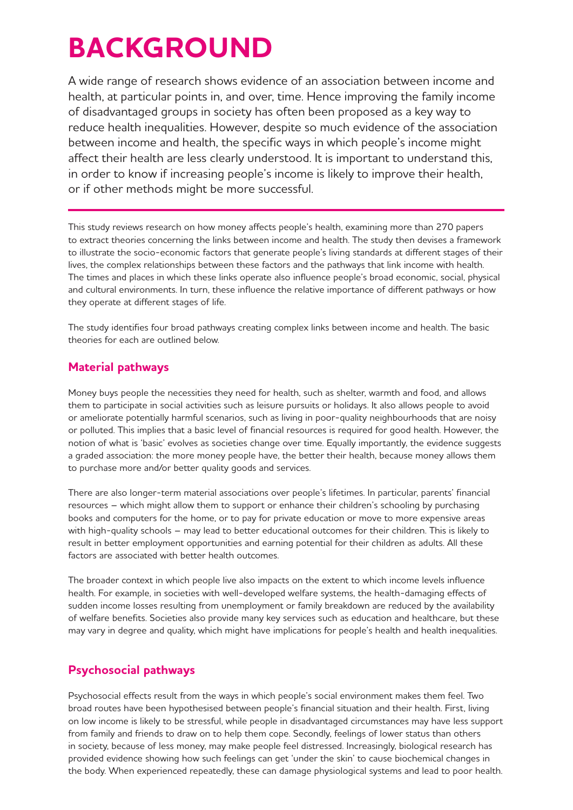## **BACKGROUND**

A wide range of research shows evidence of an association between income and health, at particular points in, and over, time. Hence improving the family income of disadvantaged groups in society has often been proposed as a key way to reduce health inequalities. However, despite so much evidence of the association between income and health, the specific ways in which people's income might affect their health are less clearly understood. It is important to understand this, in order to know if increasing people's income is likely to improve their health, or if other methods might be more successful.

This study reviews research on how money affects people's health, examining more than 270 papers to extract theories concerning the links between income and health. The study then devises a framework to illustrate the socio-economic factors that generate people's living standards at different stages of their lives, the complex relationships between these factors and the pathways that link income with health. The times and places in which these links operate also influence people's broad economic, social, physical and cultural environments. In turn, these influence the relative importance of different pathways or how they operate at different stages of life.

The study identifies four broad pathways creating complex links between income and health. The basic theories for each are outlined below.

### **Material pathways**

Money buys people the necessities they need for health, such as shelter, warmth and food, and allows them to participate in social activities such as leisure pursuits or holidays. It also allows people to avoid or ameliorate potentially harmful scenarios, such as living in poor-quality neighbourhoods that are noisy or polluted. This implies that a basic level of financial resources is required for good health. However, the notion of what is 'basic' evolves as societies change over time. Equally importantly, the evidence suggests a graded association: the more money people have, the better their health, because money allows them to purchase more and/or better quality goods and services.

There are also longer-term material associations over people's lifetimes. In particular, parents' financial resources – which might allow them to support or enhance their children's schooling by purchasing books and computers for the home, or to pay for private education or move to more expensive areas with high-quality schools – may lead to better educational outcomes for their children. This is likely to result in better employment opportunities and earning potential for their children as adults. All these factors are associated with better health outcomes.

The broader context in which people live also impacts on the extent to which income levels influence health. For example, in societies with well-developed welfare systems, the health-damaging effects of sudden income losses resulting from unemployment or family breakdown are reduced by the availability of welfare benefits. Societies also provide many key services such as education and healthcare, but these may vary in degree and quality, which might have implications for people's health and health inequalities.

### **Psychosocial pathways**

Psychosocial effects result from the ways in which people's social environment makes them feel. Two broad routes have been hypothesised between people's financial situation and their health. First, living on low income is likely to be stressful, while people in disadvantaged circumstances may have less support from family and friends to draw on to help them cope. Secondly, feelings of lower status than others in society, because of less money, may make people feel distressed. Increasingly, biological research has provided evidence showing how such feelings can get 'under the skin' to cause biochemical changes in the body. When experienced repeatedly, these can damage physiological systems and lead to poor health.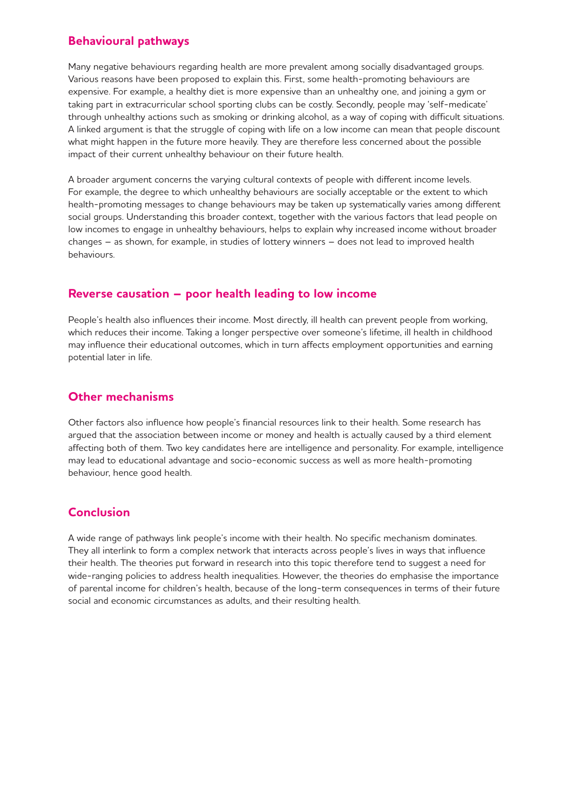### **Behavioural pathways**

Many negative behaviours regarding health are more prevalent among socially disadvantaged groups. Various reasons have been proposed to explain this. First, some health-promoting behaviours are expensive. For example, a healthy diet is more expensive than an unhealthy one, and joining a gym or taking part in extracurricular school sporting clubs can be costly. Secondly, people may 'self-medicate' through unhealthy actions such as smoking or drinking alcohol, as a way of coping with difficult situations. A linked argument is that the struggle of coping with life on a low income can mean that people discount what might happen in the future more heavily. They are therefore less concerned about the possible impact of their current unhealthy behaviour on their future health.

A broader argument concerns the varying cultural contexts of people with different income levels. For example, the degree to which unhealthy behaviours are socially acceptable or the extent to which health-promoting messages to change behaviours may be taken up systematically varies among different social groups. Understanding this broader context, together with the various factors that lead people on low incomes to engage in unhealthy behaviours, helps to explain why increased income without broader changes – as shown, for example, in studies of lottery winners – does not lead to improved health behaviours.

### **Reverse causation – poor health leading to low income**

People's health also influences their income. Most directly, ill health can prevent people from working, which reduces their income. Taking a longer perspective over someone's lifetime, ill health in childhood may influence their educational outcomes, which in turn affects employment opportunities and earning potential later in life.

### **Other mechanisms**

Other factors also influence how people's financial resources link to their health. Some research has argued that the association between income or money and health is actually caused by a third element affecting both of them. Two key candidates here are intelligence and personality. For example, intelligence may lead to educational advantage and socio-economic success as well as more health-promoting behaviour, hence good health.

## **Conclusion**

A wide range of pathways link people's income with their health. No specific mechanism dominates. They all interlink to form a complex network that interacts across people's lives in ways that influence their health. The theories put forward in research into this topic therefore tend to suggest a need for wide-ranging policies to address health inequalities. However, the theories do emphasise the importance of parental income for children's health, because of the long-term consequences in terms of their future social and economic circumstances as adults, and their resulting health.